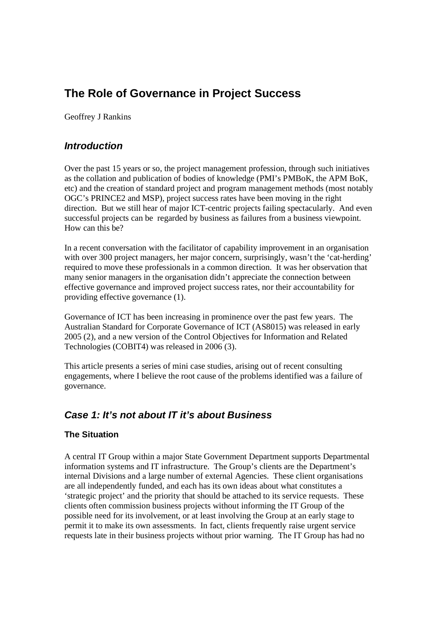# **The Role of Governance in Project Success**

Geoffrey J Rankins

## *Introduction*

Over the past 15 years or so, the project management profession, through such initiatives as the collation and publication of bodies of knowledge (PMI's PMBoK, the APM BoK, etc) and the creation of standard project and program management methods (most notably OGC's PRINCE2 and MSP), project success rates have been moving in the right direction. But we still hear of major ICT-centric projects failing spectacularly. And even successful projects can be regarded by business as failures from a business viewpoint. How can this be?

In a recent conversation with the facilitator of capability improvement in an organisation with over 300 project managers, her major concern, surprisingly, wasn't the 'cat-herding' required to move these professionals in a common direction. It was her observation that many senior managers in the organisation didn't appreciate the connection between effective governance and improved project success rates, nor their accountability for providing effective governance (1).

Governance of ICT has been increasing in prominence over the past few years. The Australian Standard for Corporate Governance of ICT (AS8015) was released in early 2005 (2), and a new version of the Control Objectives for Information and Related Technologies (COBIT4) was released in 2006 (3).

This article presents a series of mini case studies, arising out of recent consulting engagements, where I believe the root cause of the problems identified was a failure of governance.

## *Case 1: It's not about IT it's about Business*

### **The Situation**

A central IT Group within a major State Government Department supports Departmental information systems and IT infrastructure. The Group's clients are the Department's internal Divisions and a large number of external Agencies. These client organisations are all independently funded, and each has its own ideas about what constitutes a 'strategic project' and the priority that should be attached to its service requests. These clients often commission business projects without informing the IT Group of the possible need for its involvement, or at least involving the Group at an early stage to permit it to make its own assessments. In fact, clients frequently raise urgent service requests late in their business projects without prior warning. The IT Group has had no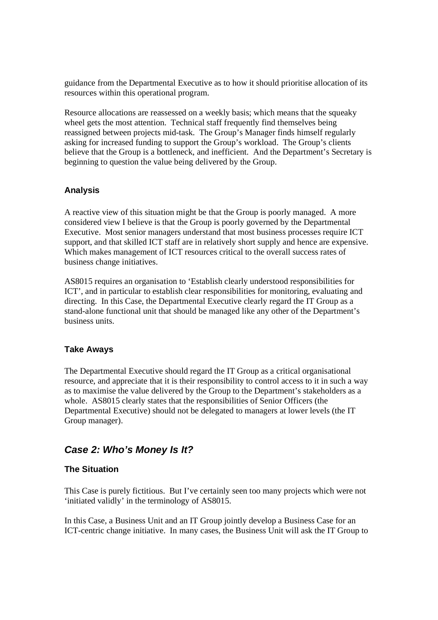guidance from the Departmental Executive as to how it should prioritise allocation of its resources within this operational program.

Resource allocations are reassessed on a weekly basis; which means that the squeaky wheel gets the most attention. Technical staff frequently find themselves being reassigned between projects mid-task. The Group's Manager finds himself regularly asking for increased funding to support the Group's workload. The Group's clients believe that the Group is a bottleneck, and inefficient. And the Department's Secretary is beginning to question the value being delivered by the Group.

#### **Analysis**

A reactive view of this situation might be that the Group is poorly managed. A more considered view I believe is that the Group is poorly governed by the Departmental Executive. Most senior managers understand that most business processes require ICT support, and that skilled ICT staff are in relatively short supply and hence are expensive. Which makes management of ICT resources critical to the overall success rates of business change initiatives.

AS8015 requires an organisation to 'Establish clearly understood responsibilities for ICT', and in particular to establish clear responsibilities for monitoring, evaluating and directing. In this Case, the Departmental Executive clearly regard the IT Group as a stand-alone functional unit that should be managed like any other of the Department's business units.

#### **Take Aways**

The Departmental Executive should regard the IT Group as a critical organisational resource, and appreciate that it is their responsibility to control access to it in such a way as to maximise the value delivered by the Group to the Department's stakeholders as a whole. AS8015 clearly states that the responsibilities of Senior Officers (the Departmental Executive) should not be delegated to managers at lower levels (the IT Group manager).

## *Case 2: Who's Money Is It?*

### **The Situation**

This Case is purely fictitious. But I've certainly seen too many projects which were not 'initiated validly' in the terminology of AS8015.

In this Case, a Business Unit and an IT Group jointly develop a Business Case for an ICT-centric change initiative. In many cases, the Business Unit will ask the IT Group to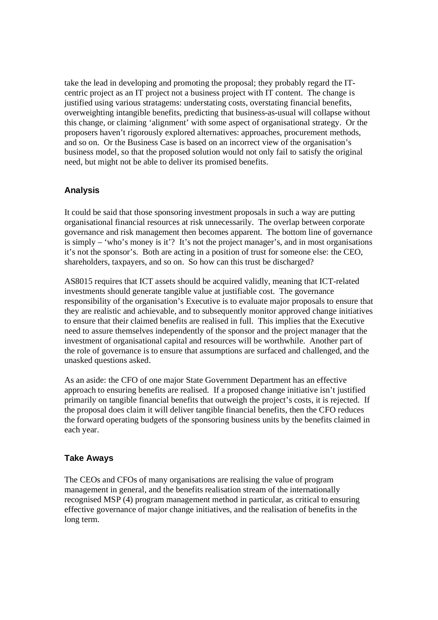take the lead in developing and promoting the proposal; they probably regard the ITcentric project as an IT project not a business project with IT content. The change is justified using various stratagems: understating costs, overstating financial benefits, overweighting intangible benefits, predicting that business-as-usual will collapse without this change, or claiming 'alignment' with some aspect of organisational strategy. Or the proposers haven't rigorously explored alternatives: approaches, procurement methods, and so on. Or the Business Case is based on an incorrect view of the organisation's business model, so that the proposed solution would not only fail to satisfy the original need, but might not be able to deliver its promised benefits.

#### **Analysis**

It could be said that those sponsoring investment proposals in such a way are putting organisational financial resources at risk unnecessarily. The overlap between corporate governance and risk management then becomes apparent. The bottom line of governance is simply – 'who's money is it'? It's not the project manager's, and in most organisations it's not the sponsor's. Both are acting in a position of trust for someone else: the CEO, shareholders, taxpayers, and so on. So how can this trust be discharged?

AS8015 requires that ICT assets should be acquired validly, meaning that ICT-related investments should generate tangible value at justifiable cost. The governance responsibility of the organisation's Executive is to evaluate major proposals to ensure that they are realistic and achievable, and to subsequently monitor approved change initiatives to ensure that their claimed benefits are realised in full. This implies that the Executive need to assure themselves independently of the sponsor and the project manager that the investment of organisational capital and resources will be worthwhile. Another part of the role of governance is to ensure that assumptions are surfaced and challenged, and the unasked questions asked.

As an aside: the CFO of one major State Government Department has an effective approach to ensuring benefits are realised. If a proposed change initiative isn't justified primarily on tangible financial benefits that outweigh the project's costs, it is rejected. If the proposal does claim it will deliver tangible financial benefits, then the CFO reduces the forward operating budgets of the sponsoring business units by the benefits claimed in each year.

#### **Take Aways**

The CEOs and CFOs of many organisations are realising the value of program management in general, and the benefits realisation stream of the internationally recognised MSP (4) program management method in particular, as critical to ensuring effective governance of major change initiatives, and the realisation of benefits in the long term.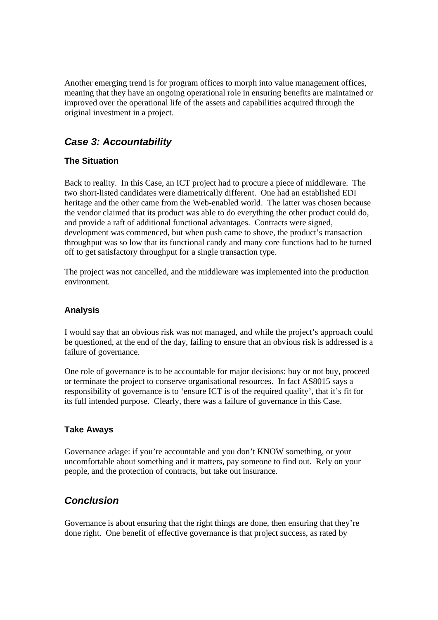Another emerging trend is for program offices to morph into value management offices, meaning that they have an ongoing operational role in ensuring benefits are maintained or improved over the operational life of the assets and capabilities acquired through the original investment in a project.

## *Case 3: Accountability*

## **The Situation**

Back to reality. In this Case, an ICT project had to procure a piece of middleware. The two short-listed candidates were diametrically different. One had an established EDI heritage and the other came from the Web-enabled world. The latter was chosen because the vendor claimed that its product was able to do everything the other product could do, and provide a raft of additional functional advantages. Contracts were signed, development was commenced, but when push came to shove, the product's transaction throughput was so low that its functional candy and many core functions had to be turned off to get satisfactory throughput for a single transaction type.

The project was not cancelled, and the middleware was implemented into the production environment.

### **Analysis**

I would say that an obvious risk was not managed, and while the project's approach could be questioned, at the end of the day, failing to ensure that an obvious risk is addressed is a failure of governance.

One role of governance is to be accountable for major decisions: buy or not buy, proceed or terminate the project to conserve organisational resources. In fact AS8015 says a responsibility of governance is to 'ensure ICT is of the required quality', that it's fit for its full intended purpose. Clearly, there was a failure of governance in this Case.

### **Take Aways**

Governance adage: if you're accountable and you don't KNOW something, or your uncomfortable about something and it matters, pay someone to find out. Rely on your people, and the protection of contracts, but take out insurance.

## *Conclusion*

Governance is about ensuring that the right things are done, then ensuring that they're done right. One benefit of effective governance is that project success, as rated by